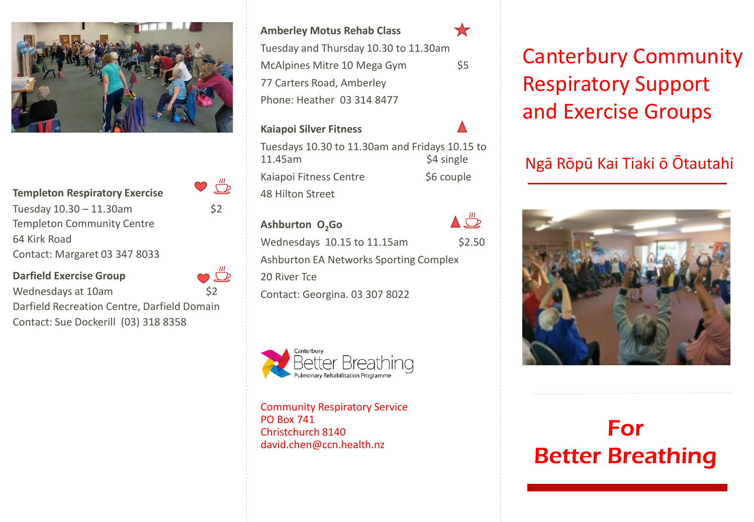

**Templeton Respiratory Exercise** 

Tuesday  $10.30 - 11.30$ am \$2 Templeton Community Centre 64 Kirk Road Contact: Margaret 03 347 8033

**Darfield Exercise Group**  $\Box$ Wednesdays at 10am 62 Darfield Recreation Centre, Darfield Domain Contact: Sue Dockerill (03) 318 8358

**Amberley Motus Rehab Class** Tuesday and Thursday 10.30 to 11.30am McAlpines Mitre 10 Mega Gym 77 Carters Road, Amberley Phone: Heather 03 314 8477

X

#### **Kaiapoi Silver Fitness**

 $\mathbb{Z}^m$ 

Tuesdays 10.30 to 11.30am and Fridays 10.15 to 11.45am \$4 single Kaiapoi Fitness Centre \$6 couple 48 Hilton Street

**Ashburton O2Go** Wednesdays 10.15 to 11.15am \$2.50 Ashburton EA Networks Sporting Complex 20 River Tce Contact: Georgina. 03 307 8022



Community Respiratory Service PO Box 741 Christchurch 8140 david.chen@ccn.health.nz

Canterbury Community Respiratory Support and Exercise Groups

# Ngā Rōpū Kai Tiaki ō Ōtautahi



# For Better Breathing